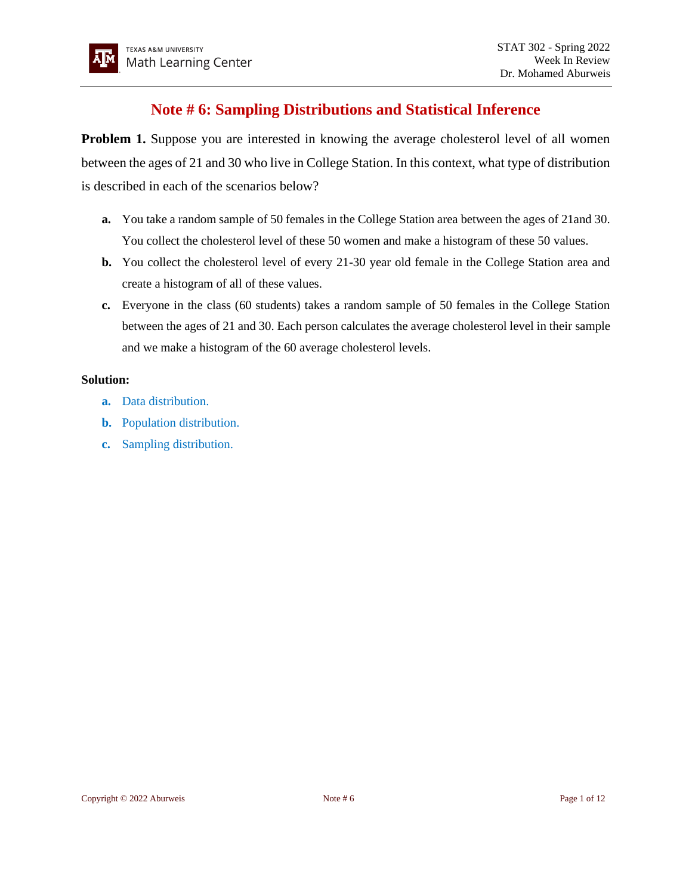# **Note # 6: Sampling Distributions and Statistical Inference**

**Problem 1.** Suppose you are interested in knowing the average cholesterol level of all women between the ages of 21 and 30 who live in College Station. In this context, what type of distribution is described in each of the scenarios below?

- **a.** You take a random sample of 50 females in the College Station area between the ages of 21and 30. You collect the cholesterol level of these 50 women and make a histogram of these 50 values.
- **b.** You collect the cholesterol level of every 21-30 year old female in the College Station area and create a histogram of all of these values.
- **c.** Everyone in the class (60 students) takes a random sample of 50 females in the College Station between the ages of 21 and 30. Each person calculates the average cholesterol level in their sample and we make a histogram of the 60 average cholesterol levels.

# **Solution:**

- **a.** Data distribution.
- **b.** Population distribution.
- **c.** Sampling distribution.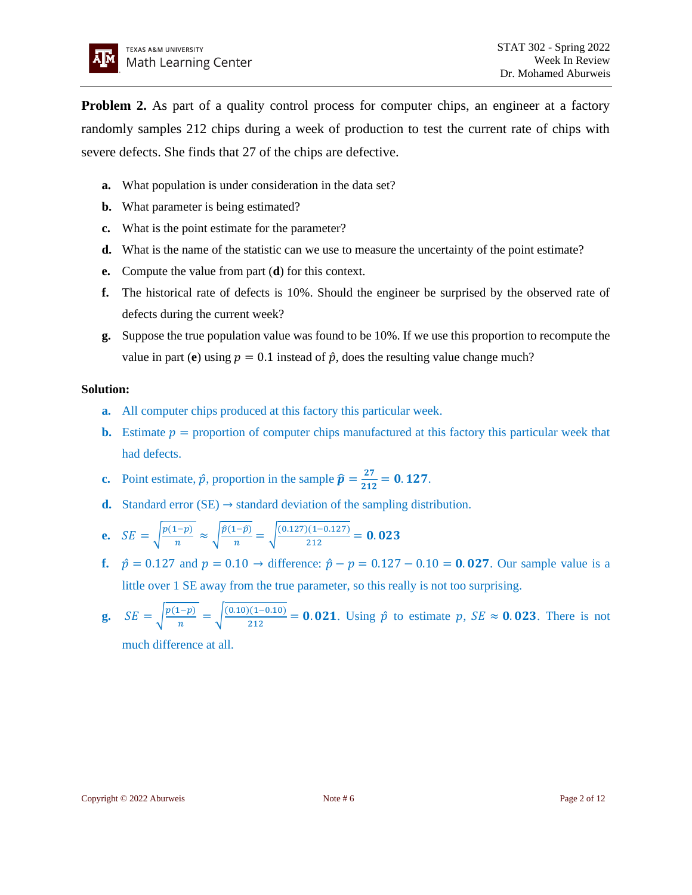**Problem 2.** As part of a quality control process for computer chips, an engineer at a factory randomly samples 212 chips during a week of production to test the current rate of chips with severe defects. She finds that 27 of the chips are defective.

- **a.** What population is under consideration in the data set?
- **b.** What parameter is being estimated?
- **c.** What is the point estimate for the parameter?
- **d.** What is the name of the statistic can we use to measure the uncertainty of the point estimate?
- **e.** Compute the value from part (**d**) for this context.
- **f.** The historical rate of defects is 10%. Should the engineer be surprised by the observed rate of defects during the current week?
- **g.** Suppose the true population value was found to be 10%. If we use this proportion to recompute the value in part (**e**) using  $p = 0.1$  instead of  $\hat{p}$ , does the resulting value change much?

# **Solution:**

- **a.** All computer chips produced at this factory this particular week.
- **b.** Estimate  $p =$  proportion of computer chips manufactured at this factory this particular week that had defects.
- **c.** Point estimate,  $\hat{p}$ , proportion in the sample  $\hat{p} = \frac{27}{245}$  $\frac{27}{212}$  = 0.127.
- **d.** Standard error (SE)  $\rightarrow$  standard deviation of the sampling distribution.

$$
\textbf{e.} \quad SE = \sqrt{\frac{p(1-p)}{n}} \approx \sqrt{\frac{\hat{p}(1-\hat{p})}{n}} = \sqrt{\frac{(0.127)(1-0.127)}{212}} = \textbf{0.023}
$$

- **f.**  $\hat{p} = 0.127$  and  $p = 0.10$  → difference:  $\hat{p} p = 0.127 0.10 = 0.027$ . Our sample value is a little over 1 SE away from the true parameter, so this really is not too surprising.
- **g.**  $SE = \sqrt{\frac{p(1-p)}{n}}$  $\frac{(-p)}{n} = \sqrt{\frac{(0.10)(1-0.10)}{212}}$  $\frac{2(1-0.10)}{212}$  = **0.021**. Using  $\hat{p}$  to estimate p,  $SE \approx$  **0.023**. There is not

much difference at all.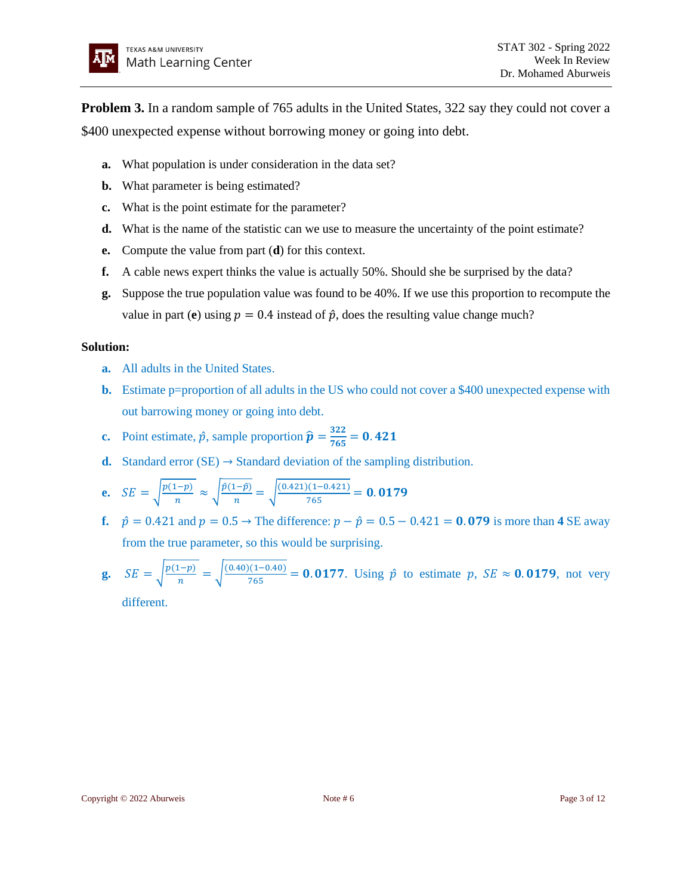

**Problem 3.** In a random sample of 765 adults in the United States, 322 say they could not cover a \$400 unexpected expense without borrowing money or going into debt.

- **a.** What population is under consideration in the data set?
- **b.** What parameter is being estimated?
- **c.** What is the point estimate for the parameter?
- **d.** What is the name of the statistic can we use to measure the uncertainty of the point estimate?
- **e.** Compute the value from part (**d**) for this context.
- **f.** A cable news expert thinks the value is actually 50%. Should she be surprised by the data?
- **g.** Suppose the true population value was found to be 40%. If we use this proportion to recompute the value in part (**e**) using  $p = 0.4$  instead of  $\hat{p}$ , does the resulting value change much?

## **Solution:**

- **a.** All adults in the United States.
- **b.** Estimate p=proportion of all adults in the US who could not cover a \$400 unexpected expense with out barrowing money or going into debt.
- **c.** Point estimate,  $\hat{p}$ , sample proportion  $\hat{p} = \frac{322}{765} = 0.421$
- **d.** Standard error  $(SE) \rightarrow$  Standard deviation of the sampling distribution.
- **e.**  $SE = \sqrt{\frac{p(1-p)}{n}}$  $\frac{(1-p)}{n} \approx \sqrt{\frac{\hat{p}(1-\hat{p})}{n}}$  $\frac{(1-\hat{p})}{n} = \sqrt{\frac{(0.421)(1-0.421)}{765}}$  $\frac{1}{765}$  = 0.0179
- **f.**  $\hat{p} = 0.421$  and  $p = 0.5 \rightarrow$  The difference:  $p \hat{p} = 0.5 0.421 = 0.079$  is more than 4 SE away from the true parameter, so this would be surprising.
- **g.**  $SE = \sqrt{\frac{p(1-p)}{n}}$  $\frac{(-p)}{n} = \sqrt{\frac{(0.40)(1-0.40)}{765}}$  $\frac{7(1-0.40)}{765}$  = 0.0177. Using  $\hat{p}$  to estimate p,  $SE \approx 0.0179$ , not very different.

Copyright © 2022 Aburweis **Note # 6** Page 3 of 12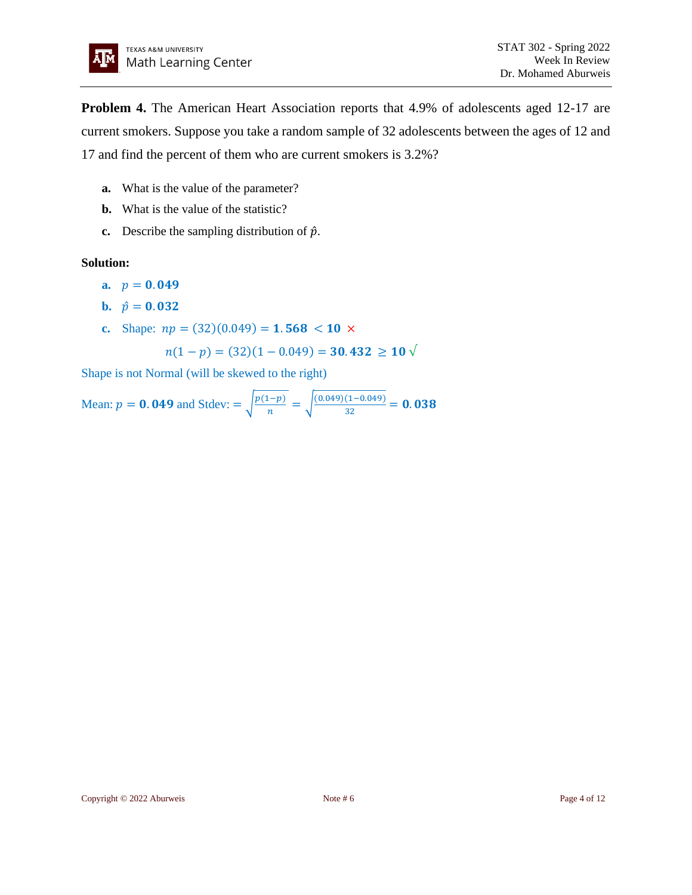**Problem 4.** The American Heart Association reports that 4.9% of adolescents aged 12-17 are current smokers. Suppose you take a random sample of 32 adolescents between the ages of 12 and 17 and find the percent of them who are current smokers is 3.2%?

- **a.** What is the value of the parameter?
- **b.** What is the value of the statistic?
- **c.** Describe the sampling distribution of  $\hat{p}$ .

#### **Solution:**

- **a.**  $p = 0.049$
- **b.**  $\hat{p} = 0.032$
- **c.** Shape:  $np = (32)(0.049) = 1.568 < 10 \times$

$$
n(1-p) = (32)(1 - 0.049) = 30.432 \ge 10 \sqrt{ }
$$

Shape is not Normal (will be skewed to the right)

Mean: 
$$
p = 0.049
$$
 and  $\text{Stdev} = \sqrt{\frac{p(1-p)}{n}} = \sqrt{\frac{(0.049)(1-0.049)}{32}} = 0.038$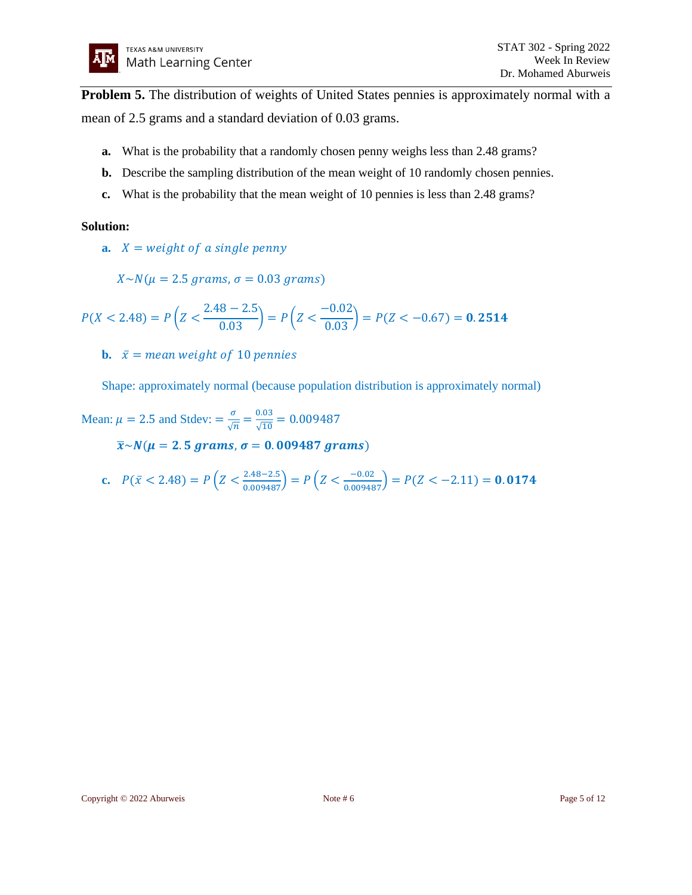**Problem 5.** The distribution of weights of United States pennies is approximately normal with a mean of 2.5 grams and a standard deviation of 0.03 grams.

- **a.** What is the probability that a randomly chosen penny weighs less than 2.48 grams?
- **b.** Describe the sampling distribution of the mean weight of 10 randomly chosen pennies.
- **c.** What is the probability that the mean weight of 10 pennies is less than 2.48 grams?

## **Solution:**

**a.**  $X = weight of a single penny$ 

 $X \sim N(\mu = 2.5 \, grams, \sigma = 0.03 \, grams)$ 

$$
P(X < 2.48) = P\left(Z < \frac{2.48 - 2.5}{0.03}\right) = P\left(Z < \frac{-0.02}{0.03}\right) = P(Z < -0.67) = \mathbf{0.2514}
$$

**b.**  $\bar{x}$  = mean weight of 10 pennies

Shape: approximately normal (because population distribution is approximately normal)

Mean:  $\mu = 2.5$  and Stdev:  $= \frac{\sigma}{6}$  $\frac{\sigma}{\sqrt{n}} = \frac{0.03}{\sqrt{10}}$  $\frac{0.03}{\sqrt{10}} = 0.009487$ 

 $\bar{x}$ ~ $N(\mu = 2.5 \, grams, \sigma = 0.009487 \, grams)$ 

**c.** 
$$
P(\bar{x} < 2.48) = P\left(Z < \frac{2.48 - 2.5}{0.009487}\right) = P\left(Z < \frac{-0.02}{0.009487}\right) = P(Z < -2.11) =
$$
**0.0174**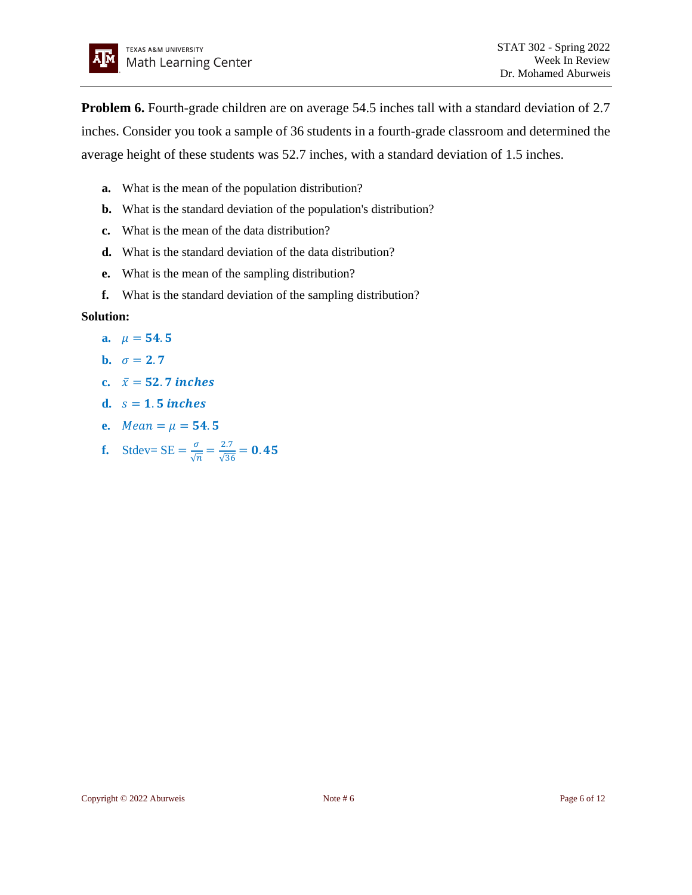

**Problem 6.** Fourth-grade children are on average 54.5 inches tall with a standard deviation of 2.7 inches. Consider you took a sample of 36 students in a fourth-grade classroom and determined the average height of these students was 52.7 inches, with a standard deviation of 1.5 inches.

- **a.** What is the mean of the population distribution?
- **b.** What is the standard deviation of the population's distribution?
- **c.** What is the mean of the data distribution?
- **d.** What is the standard deviation of the data distribution?
- **e.** What is the mean of the sampling distribution?
- **f.** What is the standard deviation of the sampling distribution?

## **Solution:**

- **a.**  $\mu = 54.5$
- **b.**  $\sigma = 2.7$
- c.  $\bar{x} = 52.7$  *inches*
- d.  $s = 1.5$  *inches*
- **e.**  $Mean = \mu = 54.5$
- **f.** Stdev=  $SE = \frac{\sigma}{\sqrt{2}}$  $\frac{\sigma}{\sqrt{n}} = \frac{2.7}{\sqrt{36}}$  $\frac{2.7}{\sqrt{36}} = 0.45$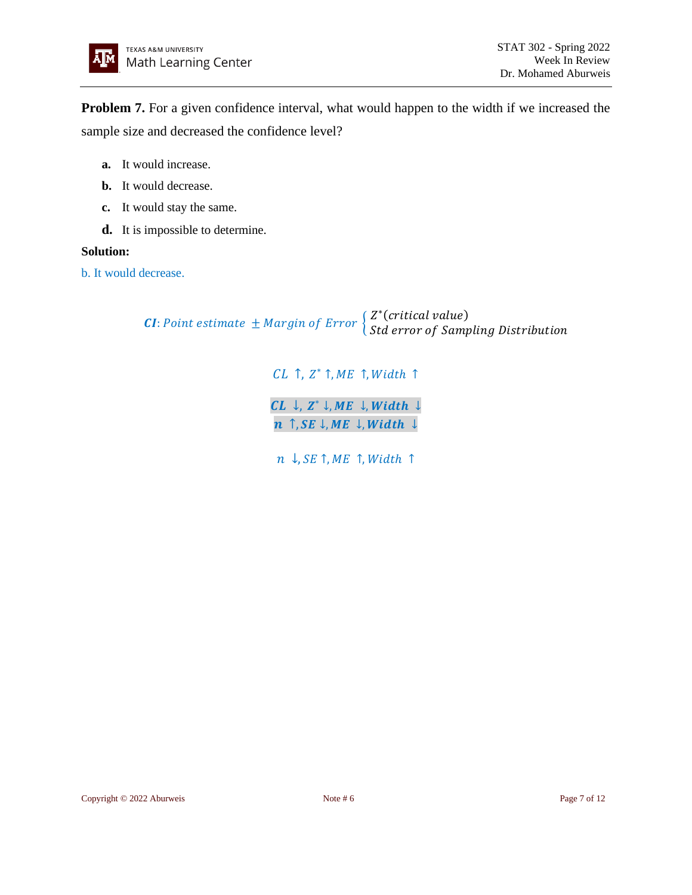

**Problem 7.** For a given confidence interval, what would happen to the width if we increased the sample size and decreased the confidence level?

- **a.** It would increase.
- **b.** It would decrease.
- **c.** It would stay the same.
- **d.** It is impossible to determine.

## **Solution:**

b. It would decrease.

**CI**: Point estimate  $\pm$  Margin of Error  $\begin{cases} Z^*(c \text{ritical value}) \\ C \text{1d} \text{ among } c \text{f} \end{cases}$ Std error of Sampling Distribution

> $CL$   $\uparrow$ ,  $Z^*$   $\uparrow$ ,  $ME$   $\uparrow$ ,  $Width$   $\uparrow$  $CL \downarrow, Z^* \downarrow, ME \downarrow, Width \downarrow$  $n \uparrow$ ,  $SE \downarrow$ ,  $ME \downarrow$ ,  $Width \downarrow$

 $n \downarrow$ ,  $SE \uparrow$ ,  $ME \uparrow$ , Width  $\uparrow$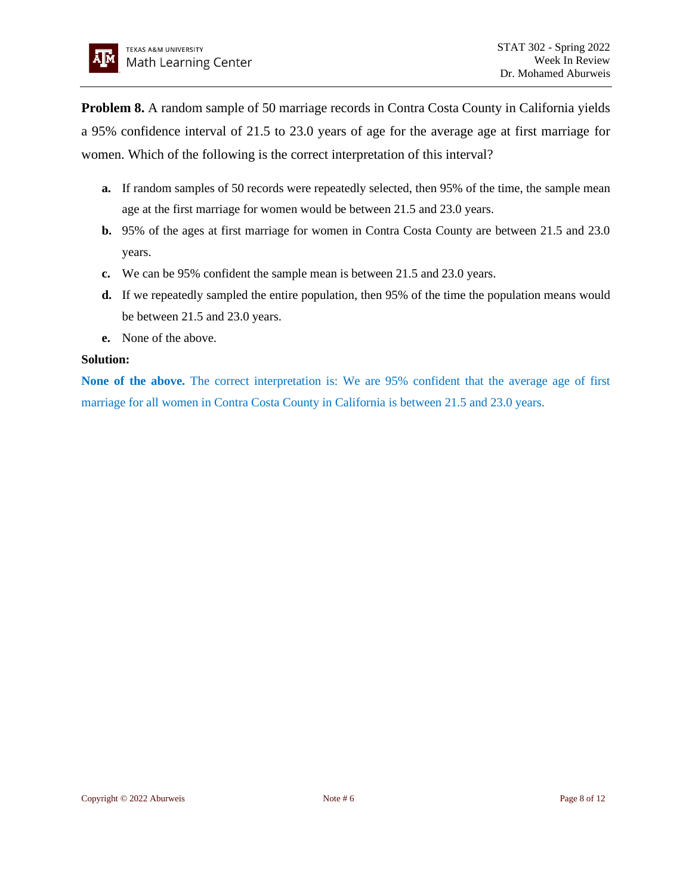**Problem 8.** A random sample of 50 marriage records in Contra Costa County in California yields a 95% confidence interval of 21.5 to 23.0 years of age for the average age at first marriage for women. Which of the following is the correct interpretation of this interval?

- **a.** If random samples of 50 records were repeatedly selected, then 95% of the time, the sample mean age at the first marriage for women would be between 21.5 and 23.0 years.
- **b.** 95% of the ages at first marriage for women in Contra Costa County are between 21.5 and 23.0 years.
- **c.** We can be 95% confident the sample mean is between 21.5 and 23.0 years.
- **d.** If we repeatedly sampled the entire population, then 95% of the time the population means would be between 21.5 and 23.0 years.
- **e.** None of the above.

# **Solution:**

**None of the above.** The correct interpretation is: We are 95% confident that the average age of first marriage for all women in Contra Costa County in California is between 21.5 and 23.0 years.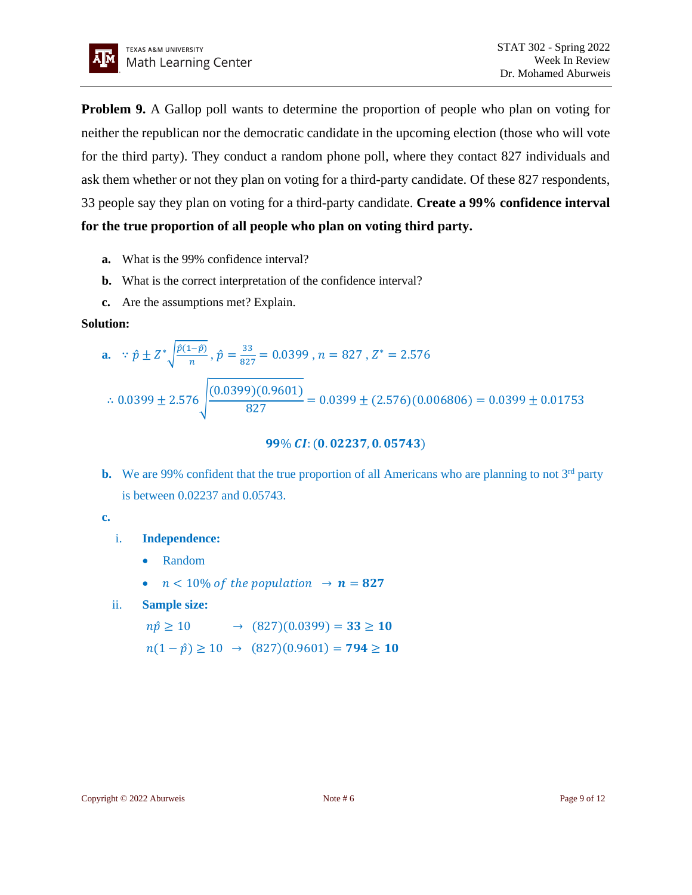

**Problem 9.** A Gallop poll wants to determine the proportion of people who plan on voting for neither the republican nor the democratic candidate in the upcoming election (those who will vote for the third party). They conduct a random phone poll, where they contact 827 individuals and ask them whether or not they plan on voting for a third-party candidate. Of these 827 respondents, 33 people say they plan on voting for a third-party candidate. **Create a 99% confidence interval for the true proportion of all people who plan on voting third party.**

- **a.** What is the 99% confidence interval?
- **b.** What is the correct interpretation of the confidence interval?
- **c.** Are the assumptions met? Explain.

## **Solution:**

**a.** 
$$
\therefore \hat{p} \pm Z^* \sqrt{\frac{\hat{p}(1-\hat{p})}{n}}, \hat{p} = \frac{33}{827} = 0.0399, n = 827, Z^* = 2.576
$$
  
 $\therefore 0.0399 \pm 2.576 \sqrt{\frac{(0.0399)(0.9601)}{827}} = 0.0399 \pm (2.576)(0.006806) = 0.0399 \pm 0.01753$ 

 $99\% CI: (0.02237, 0.05743)$ 

**b.** We are 99% confident that the true proportion of all Americans who are planning to not  $3<sup>rd</sup>$  party is between 0.02237 and 0.05743.

# **c.**

# i. **Independence:**

- Random
- $n < 10\%$  of the population  $\rightarrow n = 827$
- ii. **Sample size:**

 $n\hat{p} \ge 10$   $\rightarrow$   $(827)(0.0399) = 33 \ge 10$  $n(1 - \hat{p}) \ge 10 \rightarrow (827)(0.9601) = 794 \ge 10$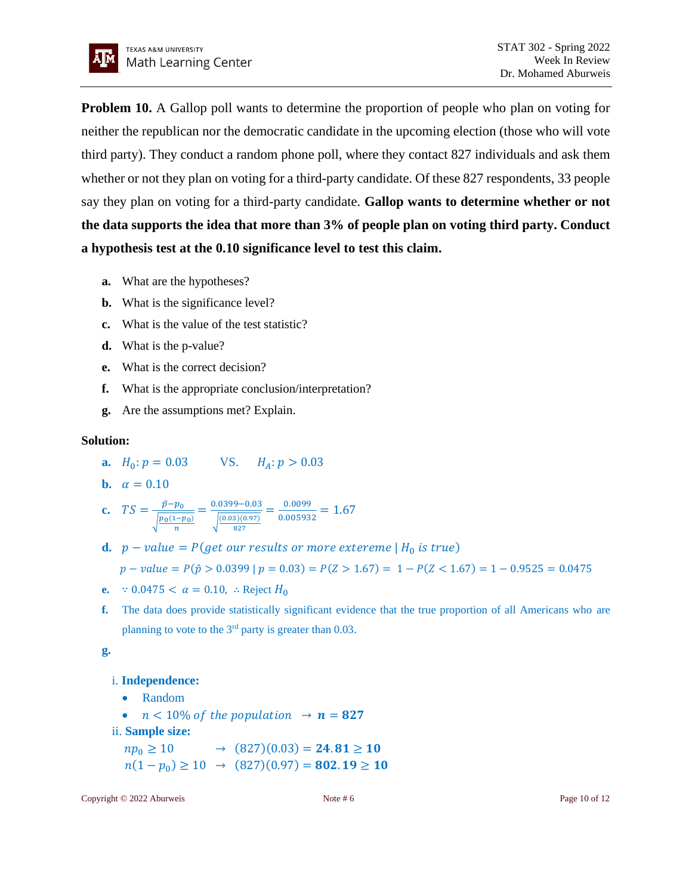

**Problem 10.** A Gallop poll wants to determine the proportion of people who plan on voting for neither the republican nor the democratic candidate in the upcoming election (those who will vote third party). They conduct a random phone poll, where they contact 827 individuals and ask them whether or not they plan on voting for a third-party candidate. Of these 827 respondents, 33 people say they plan on voting for a third-party candidate. **Gallop wants to determine whether or not the data supports the idea that more than 3% of people plan on voting third party. Conduct a hypothesis test at the 0.10 significance level to test this claim.**

- **a.** What are the hypotheses?
- **b.** What is the significance level?
- **c.** What is the value of the test statistic?
- **d.** What is the p-value?
- **e.** What is the correct decision?
- **f.** What is the appropriate conclusion/interpretation?
- **g.** Are the assumptions met? Explain.

#### **Solution:**

- **a.**  $H_0: p = 0.03$  VS.  $H_A: p > 0.03$
- **b.**  $\alpha = 0.10$

**c.** 
$$
TS = \frac{\hat{p} - p_0}{\sqrt{\frac{p_0(1 - p_0)}{n}}} = \frac{0.0399 - 0.03}{\sqrt{\frac{(0.03)(0.97)}{827}}} = \frac{0.0099}{0.005932} = 1.67
$$

**d.**  $p - value = P(\text{get our results or more extreme} | H_0 \text{ is true})$ 

$$
p-value = P(\hat{p} > 0.0399 | p = 0.03) = P(Z > 1.67) = 1 - P(Z < 1.67) = 1 - 0.9525 = 0.0475
$$

- **e.** ∵ 0.0475 <  $\alpha = 0.10$ , ∴ Reject  $H_0$
- **f.** The data does provide statistically significant evidence that the true proportion of all Americans who are planning to vote to the  $3<sup>rd</sup>$  party is greater than 0.03.

**g.**

#### i. **Independence:**

- Random
- $n < 10\%$  of the population  $\rightarrow n = 827$
- ii. **Sample size:**
- $np_0 \ge 10$   $\rightarrow$   $(827)(0.03) = 24.81 \ge 10$  $n(1-p_0) \ge 10 \rightarrow (827)(0.97) = 802.19 \ge 10$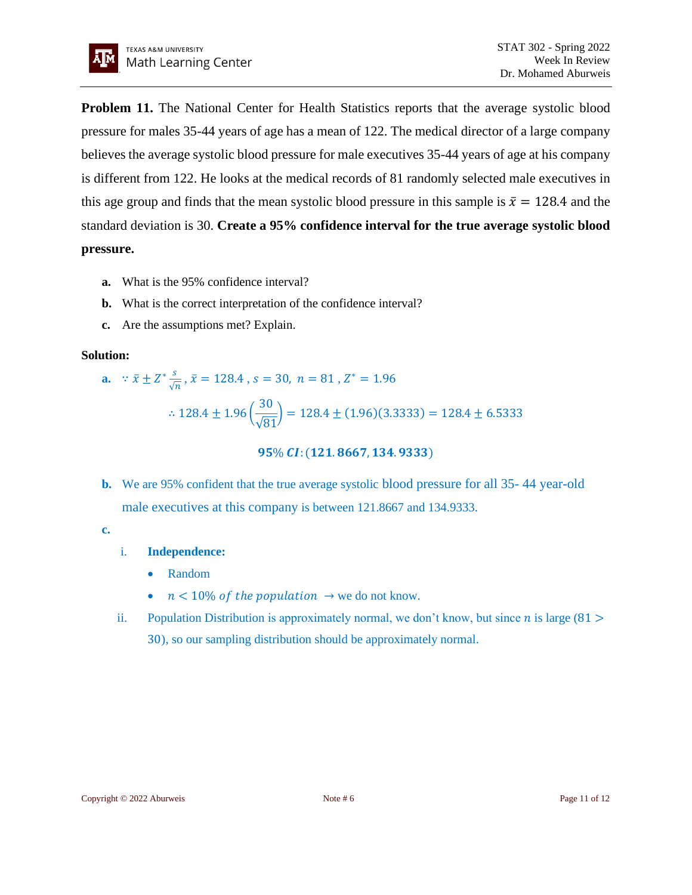

**Problem 11.** The National Center for Health Statistics reports that the average systolic blood pressure for males 35-44 years of age has a mean of 122. The medical director of a large company believes the average systolic blood pressure for male executives 35-44 years of age at his company is different from 122. He looks at the medical records of 81 randomly selected male executives in this age group and finds that the mean systolic blood pressure in this sample is  $\bar{x} = 128.4$  and the standard deviation is 30. **Create a 95% confidence interval for the true average systolic blood pressure.**

- **a.** What is the 95% confidence interval?
- **b.** What is the correct interpretation of the confidence interval?
- **c.** Are the assumptions met? Explain.

#### **Solution:**

**a.** ∵  $\bar{x}$   $\pm$   $Z^*$   $\frac{s}{6}$  $\frac{s}{\sqrt{n}}$ ,  $\bar{x} = 128.4$  ,  $s = 30$ ,  $n = 81$  ,  $Z^* = 1.96$ ∴ 128.4  $\pm$  1.96 ( 30 √81  $\left| \right| = 128.4 \pm (1.96)(3.3333) = 128.4 \pm 6.5333$ 

95% CI: (121.8667, 134.9333)

**b.** We are 95% confident that the true average systolic blood pressure for all 35- 44 year-old male executives at this company is between 121.8667 and 134.9333.

#### **c.**

- i. **Independence:** 
	- Random
	- $n < 10\%$  of the population  $\rightarrow$  we do not know.
- ii. Population Distribution is approximately normal, we don't know, but since *n* is large (81 > 30), so our sampling distribution should be approximately normal.